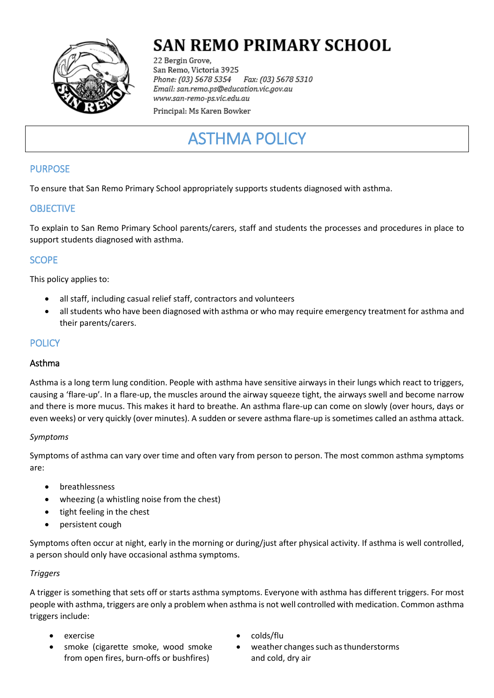

# **SAN REMO PRIMARY SCHOOL**

22 Bergin Grove, San Remo, Victoria 3925 Fax: (03) 5678 5310 Phone: (03) 5678 5354 Email: san.remo.ps@education.vic.gov.au www.san-remo-ps.vic.edu.au

Principal: Ms Karen Bowker

# ASTHMA POLICY

## PURPOSE

To ensure that San Remo Primary School appropriately supports students diagnosed with asthma.

## **OBJECTIVE**

To explain to San Remo Primary School parents/carers, staff and students the processes and procedures in place to support students diagnosed with asthma.

# **SCOPE**

This policy applies to:

- all staff, including casual relief staff, contractors and volunteers
- all students who have been diagnosed with asthma or who may require emergency treatment for asthma and their parents/carers.

## **POLICY**

## Asthma

Asthma is a long term lung condition. People with asthma have sensitive airways in their lungs which react to triggers, causing a 'flare-up'. In a flare-up, the muscles around the airway squeeze tight, the airways swell and become narrow and there is more mucus. This makes it hard to breathe. An asthma flare-up can come on slowly (over hours, days or even weeks) or very quickly (over minutes). A sudden or severe asthma flare-up is sometimes called an asthma attack.

#### *Symptoms*

Symptoms of asthma can vary over time and often vary from person to person. The most common asthma symptoms are:

- breathlessness
- wheezing (a whistling noise from the chest)
- tight feeling in the chest
- persistent cough

Symptoms often occur at night, early in the morning or during/just after physical activity. If asthma is well controlled, a person should only have occasional asthma symptoms.

#### *Triggers*

A trigger is something that sets off or starts asthma symptoms. Everyone with asthma has different triggers. For most people with asthma, triggers are only a problem when asthma is not well controlled with medication. Common asthma triggers include:

- 
- smoke (cigarette smoke, wood smoke from open fires, burn-offs or bushfires)
- exercise exercise exercise
	- weather changes such as thunderstorms and cold, dry air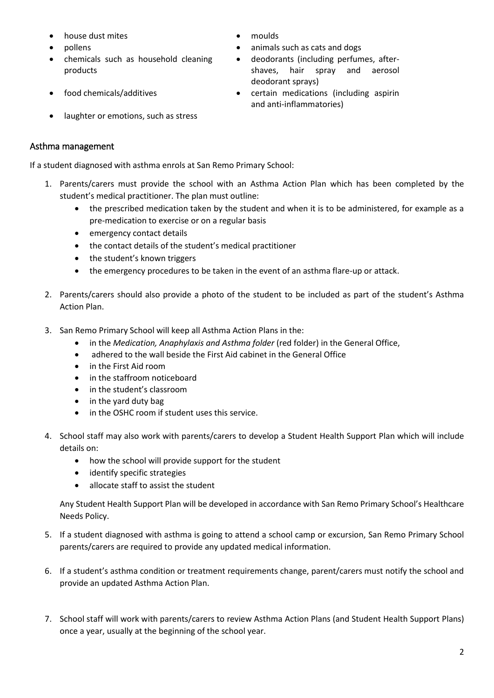- house dust mites **and the set of the moulds** and the moulds of moulds and the moulds of moulds and the moulds of  $\blacksquare$
- 
- chemicals such as household cleaning products
- 
- laughter or emotions, such as stress

## Asthma management

If a student diagnosed with asthma enrols at San Remo Primary School:

- 1. Parents/carers must provide the school with an Asthma Action Plan which has been completed by the student's medical practitioner. The plan must outline:
	- the prescribed medication taken by the student and when it is to be administered, for example as a pre-medication to exercise or on a regular basis
	- emergency contact details
	- the contact details of the student's medical practitioner
	- the student's known triggers
	- the emergency procedures to be taken in the event of an asthma flare-up or attack.
- 2. Parents/carers should also provide a photo of the student to be included as part of the student's Asthma Action Plan.
- 3. San Remo Primary School will keep all Asthma Action Plans in the:
	- in the *Medication, Anaphylaxis and Asthma folder* (red folder) in the General Office,
	- adhered to the wall beside the First Aid cabinet in the General Office
	- in the First Aid room
	- in the staffroom noticeboard
	- in the student's classroom
	- in the yard duty bag
	- in the OSHC room if student uses this service.
- 4. School staff may also work with parents/carers to develop a Student Health Support Plan which will include details on:
	- how the school will provide support for the student
	- identify specific strategies
	- allocate staff to assist the student

Any Student Health Support Plan will be developed in accordance with San Remo Primary School's Healthcare Needs Policy.

- 5. If a student diagnosed with asthma is going to attend a school camp or excursion, San Remo Primary School parents/carers are required to provide any updated medical information.
- 6. If a student's asthma condition or treatment requirements change, parent/carers must notify the school and provide an updated Asthma Action Plan.
- 7. School staff will work with parents/carers to review Asthma Action Plans (and Student Health Support Plans) once a year, usually at the beginning of the school year.
- 
- pollens **but a nimally such as cats and dogs** animals such as cats and dogs
	- deodorants (including perfumes, aftershaves, hair spray and aerosol deodorant sprays)
- food chemicals/additives certain medications (including aspirin and anti-inflammatories)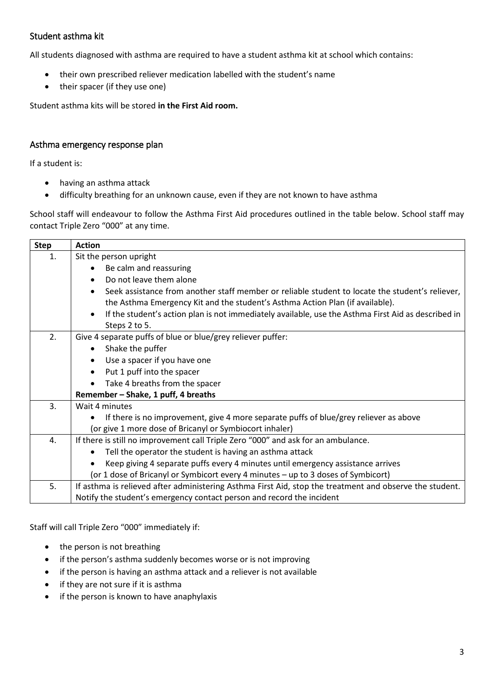## Student asthma kit

All students diagnosed with asthma are required to have a student asthma kit at school which contains:

- their own prescribed reliever medication labelled with the student's name
- their spacer (if they use one)

Student asthma kits will be stored **in the First Aid room.**

#### Asthma emergency response plan

If a student is:

- having an asthma attack
- difficulty breathing for an unknown cause, even if they are not known to have asthma

School staff will endeavour to follow the Asthma First Aid procedures outlined in the table below. School staff may contact Triple Zero "000" at any time.

| <b>Step</b> | <b>Action</b>                                                                                           |  |  |  |  |  |
|-------------|---------------------------------------------------------------------------------------------------------|--|--|--|--|--|
| 1.          | Sit the person upright                                                                                  |  |  |  |  |  |
|             | Be calm and reassuring                                                                                  |  |  |  |  |  |
|             | Do not leave them alone                                                                                 |  |  |  |  |  |
|             | Seek assistance from another staff member or reliable student to locate the student's reliever,         |  |  |  |  |  |
|             | the Asthma Emergency Kit and the student's Asthma Action Plan (if available).                           |  |  |  |  |  |
|             | If the student's action plan is not immediately available, use the Asthma First Aid as described in     |  |  |  |  |  |
|             | Steps 2 to 5.                                                                                           |  |  |  |  |  |
| 2.          | Give 4 separate puffs of blue or blue/grey reliever puffer:                                             |  |  |  |  |  |
|             | Shake the puffer                                                                                        |  |  |  |  |  |
|             | Use a spacer if you have one                                                                            |  |  |  |  |  |
|             | Put 1 puff into the spacer                                                                              |  |  |  |  |  |
|             | Take 4 breaths from the spacer                                                                          |  |  |  |  |  |
|             | Remember - Shake, 1 puff, 4 breaths                                                                     |  |  |  |  |  |
| 3.          | Wait 4 minutes                                                                                          |  |  |  |  |  |
|             | If there is no improvement, give 4 more separate puffs of blue/grey reliever as above                   |  |  |  |  |  |
|             | (or give 1 more dose of Bricanyl or Symbiocort inhaler)                                                 |  |  |  |  |  |
| 4.          | If there is still no improvement call Triple Zero "000" and ask for an ambulance.                       |  |  |  |  |  |
|             | Tell the operator the student is having an asthma attack                                                |  |  |  |  |  |
|             | Keep giving 4 separate puffs every 4 minutes until emergency assistance arrives                         |  |  |  |  |  |
|             | (or 1 dose of Bricanyl or Symbicort every 4 minutes - up to 3 doses of Symbicort)                       |  |  |  |  |  |
| 5.          | If asthma is relieved after administering Asthma First Aid, stop the treatment and observe the student. |  |  |  |  |  |
|             | Notify the student's emergency contact person and record the incident                                   |  |  |  |  |  |

Staff will call Triple Zero "000" immediately if:

- the person is not breathing
- if the person's asthma suddenly becomes worse or is not improving
- if the person is having an asthma attack and a reliever is not available
- if they are not sure if it is asthma
- if the person is known to have anaphylaxis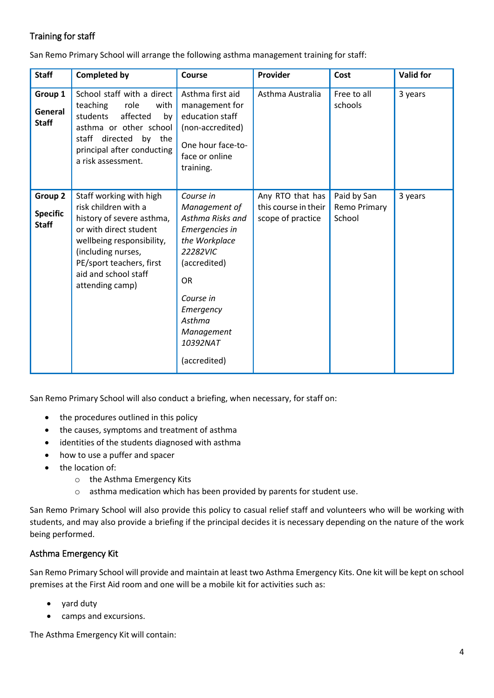# Training for staff

San Remo Primary School will arrange the following asthma management training for staff:

| <b>Staff</b>                               | <b>Completed by</b>                                                                                                                                                                                                              | Course                                                                                                                                                                                                   | Provider                                                      | Cost                                  | <b>Valid for</b> |
|--------------------------------------------|----------------------------------------------------------------------------------------------------------------------------------------------------------------------------------------------------------------------------------|----------------------------------------------------------------------------------------------------------------------------------------------------------------------------------------------------------|---------------------------------------------------------------|---------------------------------------|------------------|
| Group 1<br>General<br><b>Staff</b>         | School staff with a direct<br>teaching<br>role<br>with<br>students<br>affected<br>by<br>asthma or other school<br>staff directed by the<br>principal after conducting<br>a risk assessment.                                      | Asthma first aid<br>management for<br>education staff<br>(non-accredited)<br>One hour face-to-<br>face or online<br>training.                                                                            | Asthma Australia                                              | Free to all<br>schools                | 3 years          |
| Group 2<br><b>Specific</b><br><b>Staff</b> | Staff working with high<br>risk children with a<br>history of severe asthma,<br>or with direct student<br>wellbeing responsibility,<br>(including nurses,<br>PE/sport teachers, first<br>aid and school staff<br>attending camp) | Course in<br>Management of<br>Asthma Risks and<br>Emergencies in<br>the Workplace<br>22282VIC<br>(accredited)<br><b>OR</b><br>Course in<br>Emergency<br>Asthma<br>Management<br>10392NAT<br>(accredited) | Any RTO that has<br>this course in their<br>scope of practice | Paid by San<br>Remo Primary<br>School | 3 years          |

San Remo Primary School will also conduct a briefing, when necessary, for staff on:

- the procedures outlined in this policy
- the causes, symptoms and treatment of asthma
- identities of the students diagnosed with asthma
- how to use a puffer and spacer
- the location of:
	- o the Asthma Emergency Kits
	- o asthma medication which has been provided by parents for student use.

San Remo Primary School will also provide this policy to casual relief staff and volunteers who will be working with students, and may also provide a briefing if the principal decides it is necessary depending on the nature of the work being performed.

## Asthma Emergency Kit

San Remo Primary School will provide and maintain at least two Asthma Emergency Kits. One kit will be kept on school premises at the First Aid room and one will be a mobile kit for activities such as:

- yard duty
- camps and excursions.

The Asthma Emergency Kit will contain: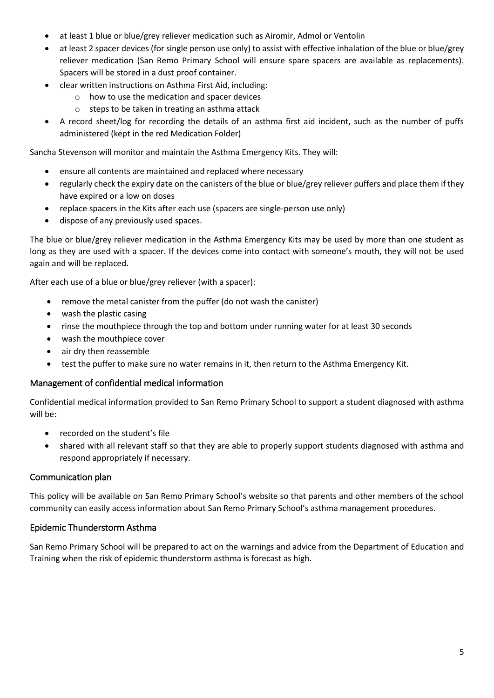- at least 1 blue or blue/grey reliever medication such as Airomir, Admol or Ventolin
- at least 2 spacer devices (for single person use only) to assist with effective inhalation of the blue or blue/grey reliever medication (San Remo Primary School will ensure spare spacers are available as replacements). Spacers will be stored in a dust proof container.
- clear written instructions on Asthma First Aid, including:
	- o how to use the medication and spacer devices
	- o steps to be taken in treating an asthma attack
- A record sheet/log for recording the details of an asthma first aid incident, such as the number of puffs administered (kept in the red Medication Folder)

Sancha Stevenson will monitor and maintain the Asthma Emergency Kits. They will:

- ensure all contents are maintained and replaced where necessary
- regularly check the expiry date on the canisters of the blue or blue/grey reliever puffers and place them if they have expired or a low on doses
- replace spacers in the Kits after each use (spacers are single-person use only)
- dispose of any previously used spaces.

The blue or blue/grey reliever medication in the Asthma Emergency Kits may be used by more than one student as long as they are used with a spacer. If the devices come into contact with someone's mouth, they will not be used again and will be replaced.

After each use of a blue or blue/grey reliever (with a spacer):

- remove the metal canister from the puffer (do not wash the canister)
- wash the plastic casing
- rinse the mouthpiece through the top and bottom under running water for at least 30 seconds
- wash the mouthpiece cover
- air dry then reassemble
- test the puffer to make sure no water remains in it, then return to the Asthma Emergency Kit.

#### Management of confidential medical information

Confidential medical information provided to San Remo Primary School to support a student diagnosed with asthma will be:

- recorded on the student's file
- shared with all relevant staff so that they are able to properly support students diagnosed with asthma and respond appropriately if necessary.

#### Communication plan

This policy will be available on San Remo Primary School's website so that parents and other members of the school community can easily access information about San Remo Primary School's asthma management procedures.

#### Epidemic Thunderstorm Asthma

San Remo Primary School will be prepared to act on the warnings and advice from the Department of Education and Training when the risk of epidemic thunderstorm asthma is forecast as high.